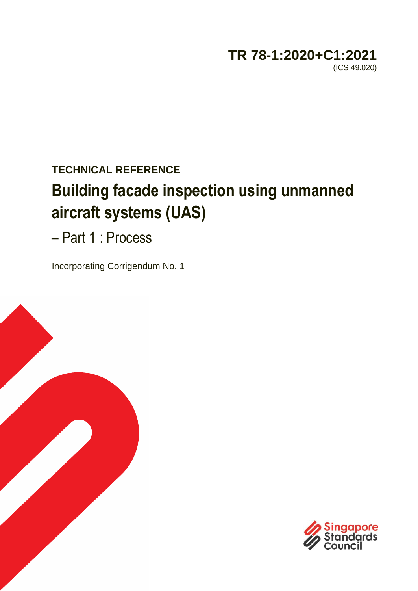## **TR 78-1:2020+C1:2021**  (ICS 49.020)

# **TECHNICAL REFERENCE Building facade inspection using unmanned aircraft systems (UAS)**

– Part 1 : Process

Incorporating Corrigendum No. 1



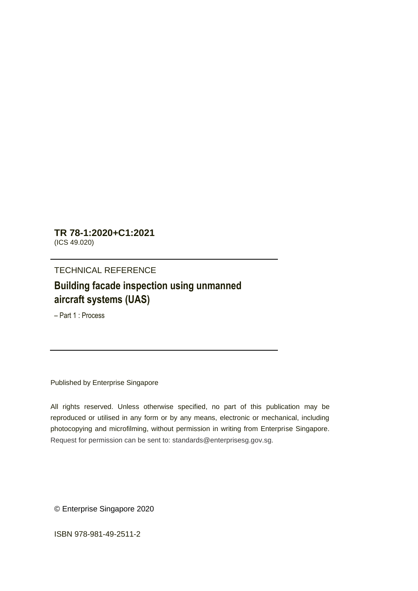**TR 78-1:2020+C1:2021** (ICS 49.020)

#### TECHNICAL REFERENCE

## **Building facade inspection using unmanned aircraft systems (UAS)**

– Part 1 : Process

Published by Enterprise Singapore

All rights reserved. Unless otherwise specified, no part of this publication may be reproduced or utilised in any form or by any means, electronic or mechanical, including photocopying and microfilming, without permission in writing from Enterprise Singapore. Request for permission can be sent to: standards@enterprisesg.gov.sg.

© Enterprise Singapore 2020

ISBN 978-981-49-2511-2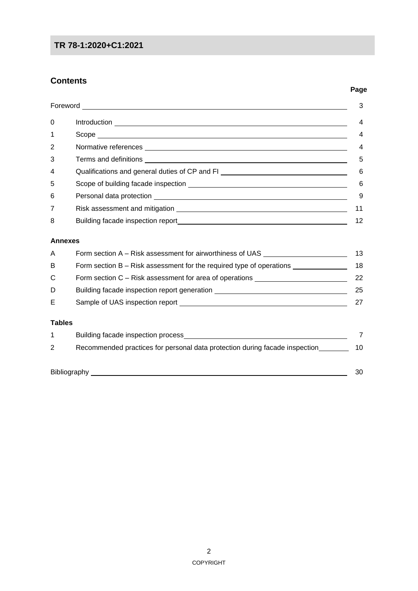### **TR 78-1:2020+C1:2021**

#### **Contents**

|                    |                                                                                   | 3              |
|--------------------|-----------------------------------------------------------------------------------|----------------|
| 0                  |                                                                                   | 4              |
| 1                  |                                                                                   | 4              |
| 2                  |                                                                                   | 4              |
| 3                  |                                                                                   | 5              |
| 4                  | Qualifications and general duties of CP and FI _________________________________  | 6              |
| 5                  |                                                                                   | 6              |
| 6                  |                                                                                   | 9              |
| 7                  |                                                                                   | 11             |
| 8                  |                                                                                   | 12             |
| <b>Annexes</b>     |                                                                                   |                |
| A                  | Form section A - Risk assessment for airworthiness of UAS ______________________  | 13             |
| B                  | Form section B - Risk assessment for the required type of operations ____________ | 18             |
| C                  | Form section C - Risk assessment for area of operations ________________________  | 22             |
| D                  | Building facade inspection report generation ___________________________________  | 25             |
| Е                  |                                                                                   | 27             |
| <b>Tables</b>      |                                                                                   |                |
| 1                  |                                                                                   | $\overline{7}$ |
| 2                  | Recommended practices for personal data protection during facade inspection       | 10             |
| Bibliography<br>30 |                                                                                   |                |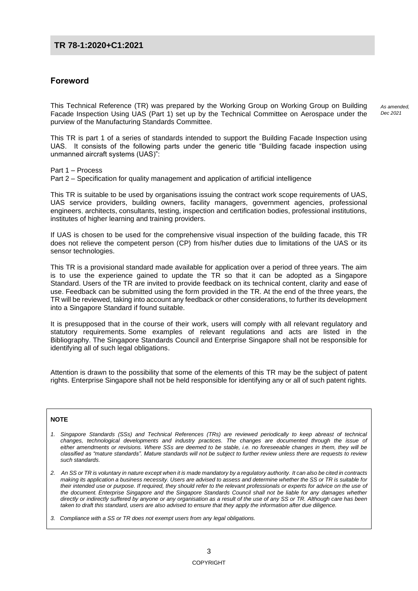#### **TR 78-1:2020+C1:2021**

#### **Foreword**

This Technical Reference (TR) was prepared by the Working Group on Working Group on Building Facade Inspection Using UAS (Part 1) set up by the Technical Committee on Aerospace under the purview of the Manufacturing Standards Committee.

This TR is part 1 of a series of standards intended to support the Building Facade Inspection using UAS. It consists of the following parts under the generic title "Building facade inspection using unmanned aircraft systems (UAS)":

Part 1 – Process Part 2 – Specification for quality management and application of artificial intelligence

This TR is suitable to be used by organisations issuing the contract work scope requirements of UAS, UAS service providers, building owners, facility managers, government agencies, professional engineers, architects, consultants, testing, inspection and certification bodies, professional institutions, institutes of higher learning and training providers.

If UAS is chosen to be used for the comprehensive visual inspection of the building facade, this TR does not relieve the competent person (CP) from his/her duties due to limitations of the UAS or its sensor technologies.

This TR is a provisional standard made available for application over a period of three years. The aim is to use the experience gained to update the TR so that it can be adopted as a Singapore Standard. Users of the TR are invited to provide feedback on its technical content, clarity and ease of use. Feedback can be submitted using the form provided in the TR. At the end of the three years, the TR will be reviewed, taking into account any feedback or other considerations, to further its development into a Singapore Standard if found suitable.

It is presupposed that in the course of their work, users will comply with all relevant regulatory and statutory requirements. Some examples of relevant regulations and acts are listed in the Bibliography. The Singapore Standards Council and Enterprise Singapore shall not be responsible for identifying all of such legal obligations.

Attention is drawn to the possibility that some of the elements of this TR may be the subject of patent rights. Enterprise Singapore shall not be held responsible for identifying any or all of such patent rights.

#### **NOTE**

- *1. Singapore Standards (SSs) and Technical References (TRs) are reviewed periodically to keep abreast of technical changes, technological developments and industry practices. The changes are documented through the issue of either amendments or revisions. Where SSs are deemed to be stable, i.e. no foreseeable changes in them, they will be classified as "mature standards". Mature standards will not be subject to further review unless there are requests to review such standards.*
- *2. An SS or TR is voluntary in nature except when it is made mandatory by a regulatory authority. It can also be cited in contracts making its application a business necessity. Users are advised to assess and determine whether the SS or TR is suitable for their intended use or purpose. If required, they should refer to the relevant professionals or experts for advice on the use of the document. Enterprise Singapore and the Singapore Standards Council shall not be liable for any damages whether directly or indirectly suffered by anyone or any organisation as a result of the use of any SS or TR. Although care has been taken to draft this standard, users are also advised to ensure that they apply the information after due diligence.*
- *3. Compliance with a SS or TR does not exempt users from any legal obligations.*

*As amended, Dec 2021*